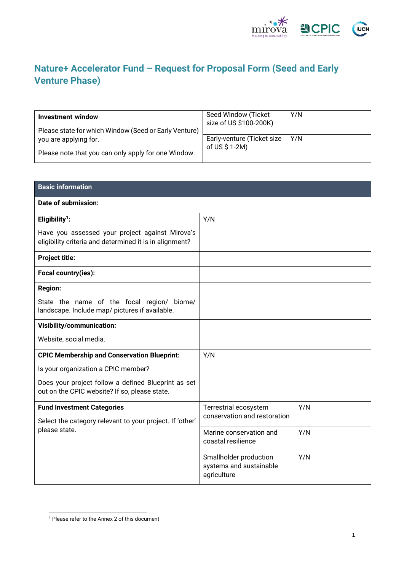

### **Nature+ Accelerator Fund – Request for Proposal Form (Seed and Early Venture Phase)**

| <b>Investment window</b><br>Please state for which Window (Seed or Early Venture) | Seed Window (Ticket<br>size of US \$100-200K) | Y/N |
|-----------------------------------------------------------------------------------|-----------------------------------------------|-----|
| you are applying for.                                                             | Early-venture (Ticket size<br>of US $$1-2M$ ) | Y/N |
| Please note that you can only apply for one Window.                               |                                               |     |

| <b>Basic information</b>                                                                                   |                                                                  |     |
|------------------------------------------------------------------------------------------------------------|------------------------------------------------------------------|-----|
| Date of submission:                                                                                        |                                                                  |     |
| Eligibility <sup>1</sup> :                                                                                 | Y/N                                                              |     |
| Have you assessed your project against Mirova's<br>eligibility criteria and determined it is in alignment? |                                                                  |     |
| <b>Project title:</b>                                                                                      |                                                                  |     |
| Focal country(ies):                                                                                        |                                                                  |     |
| <b>Region:</b>                                                                                             |                                                                  |     |
| State the name of the focal region/ biome/<br>landscape. Include map/ pictures if available.               |                                                                  |     |
| <b>Visibility/communication:</b>                                                                           |                                                                  |     |
| Website, social media.                                                                                     |                                                                  |     |
| <b>CPIC Membership and Conservation Blueprint:</b>                                                         | Y/N                                                              |     |
| Is your organization a CPIC member?                                                                        |                                                                  |     |
| Does your project follow a defined Blueprint as set<br>out on the CPIC website? If so, please state.       |                                                                  |     |
| <b>Fund Investment Categories</b>                                                                          | Terrestrial ecosystem                                            | Y/N |
| Select the category relevant to your project. If 'other'<br>please state.                                  | conservation and restoration                                     |     |
|                                                                                                            | Marine conservation and<br>coastal resilience                    | Y/N |
|                                                                                                            | Smallholder production<br>systems and sustainable<br>agriculture | Y/N |

<sup>1</sup> Please refer to the Annex 2 of this document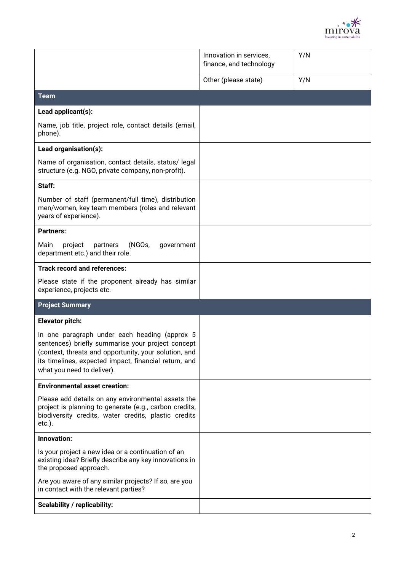

|                                                                                                                                                                                                                                                    | Innovation in services,<br>finance, and technology | Y/N |
|----------------------------------------------------------------------------------------------------------------------------------------------------------------------------------------------------------------------------------------------------|----------------------------------------------------|-----|
|                                                                                                                                                                                                                                                    | Other (please state)                               | Y/N |
| <b>Team</b>                                                                                                                                                                                                                                        |                                                    |     |
| Lead applicant(s):                                                                                                                                                                                                                                 |                                                    |     |
| Name, job title, project role, contact details (email,<br>phone).                                                                                                                                                                                  |                                                    |     |
| Lead organisation(s):                                                                                                                                                                                                                              |                                                    |     |
| Name of organisation, contact details, status/ legal<br>structure (e.g. NGO, private company, non-profit).                                                                                                                                         |                                                    |     |
| Staff:                                                                                                                                                                                                                                             |                                                    |     |
| Number of staff (permanent/full time), distribution<br>men/women, key team members (roles and relevant<br>years of experience).                                                                                                                    |                                                    |     |
| <b>Partners:</b>                                                                                                                                                                                                                                   |                                                    |     |
| Main<br>project<br>partners<br>(NGOs,<br>government<br>department etc.) and their role.                                                                                                                                                            |                                                    |     |
| <b>Track record and references:</b>                                                                                                                                                                                                                |                                                    |     |
| Please state if the proponent already has similar<br>experience, projects etc.                                                                                                                                                                     |                                                    |     |
| <b>Project Summary</b>                                                                                                                                                                                                                             |                                                    |     |
| <b>Elevator pitch:</b>                                                                                                                                                                                                                             |                                                    |     |
| In one paragraph under each heading (approx 5<br>sentences) briefly summarise your project concept<br>(context, threats and opportunity, your solution, and<br>its timelines, expected impact, financial return, and<br>what you need to deliver). |                                                    |     |
| <b>Environmental asset creation:</b>                                                                                                                                                                                                               |                                                    |     |
| Please add details on any environmental assets the<br>project is planning to generate (e.g., carbon credits,<br>biodiversity credits, water credits, plastic credits<br>$etc.$ ).                                                                  |                                                    |     |
| Innovation:                                                                                                                                                                                                                                        |                                                    |     |
| Is your project a new idea or a continuation of an<br>existing idea? Briefly describe any key innovations in<br>the proposed approach.                                                                                                             |                                                    |     |
| Are you aware of any similar projects? If so, are you<br>in contact with the relevant parties?                                                                                                                                                     |                                                    |     |
| <b>Scalability / replicability:</b>                                                                                                                                                                                                                |                                                    |     |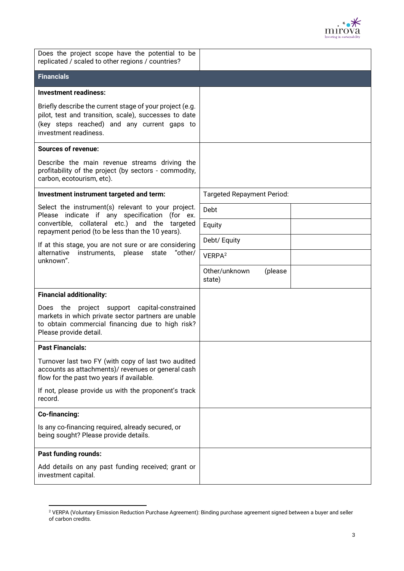

| Does the project scope have the potential to be<br>replicated / scaled to other regions / countries?                                                                                      |                                    |
|-------------------------------------------------------------------------------------------------------------------------------------------------------------------------------------------|------------------------------------|
| <b>Financials</b>                                                                                                                                                                         |                                    |
| <b>Investment readiness:</b>                                                                                                                                                              |                                    |
| Briefly describe the current stage of your project (e.g.<br>pilot, test and transition, scale), successes to date<br>(key steps reached) and any current gaps to<br>investment readiness. |                                    |
| <b>Sources of revenue:</b>                                                                                                                                                                |                                    |
| Describe the main revenue streams driving the<br>profitability of the project (by sectors - commodity,<br>carbon, ecotourism, etc).                                                       |                                    |
| Investment instrument targeted and term:                                                                                                                                                  | <b>Targeted Repayment Period:</b>  |
| Select the instrument(s) relevant to your project.<br>Please indicate if any specification (for ex.                                                                                       | Debt                               |
| convertible, collateral etc.) and the targeted<br>repayment period (to be less than the 10 years).                                                                                        | Equity                             |
| If at this stage, you are not sure or are considering                                                                                                                                     | Debt/ Equity                       |
| alternative<br>instruments, please<br>state<br>"other/<br>unknown".                                                                                                                       | VERPA <sup>2</sup>                 |
|                                                                                                                                                                                           | Other/unknown<br>(please<br>state) |
| <b>Financial additionality:</b>                                                                                                                                                           |                                    |
| Does the project support capital-constrained<br>markets in which private sector partners are unable<br>to obtain commercial financing due to high risk?<br>Please provide detail.         |                                    |
| <b>Past Financials:</b>                                                                                                                                                                   |                                    |
| Turnover last two FY (with copy of last two audited<br>accounts as attachments)/ revenues or general cash<br>flow for the past two years if available.                                    |                                    |
| If not, please provide us with the proponent's track<br>record.                                                                                                                           |                                    |
| Co-financing:                                                                                                                                                                             |                                    |
| Is any co-financing required, already secured, or<br>being sought? Please provide details.                                                                                                |                                    |
| <b>Past funding rounds:</b>                                                                                                                                                               |                                    |
| Add details on any past funding received; grant or<br>investment capital.                                                                                                                 |                                    |

 $^2$  VERPA (Voluntary Emission Reduction Purchase Agreement): Binding purchase agreement signed between a buyer and seller of carbon credits.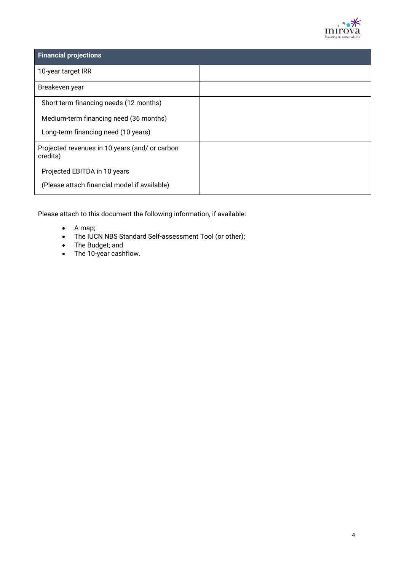

| <b>Financial projections</b>                               |  |
|------------------------------------------------------------|--|
| 10-year target IRR                                         |  |
| Breakeven year                                             |  |
| Short term financing needs (12 months)                     |  |
| Medium-term financing need (36 months)                     |  |
| Long-term financing need (10 years)                        |  |
| Projected revenues in 10 years (and/ or carbon<br>credits) |  |
| Projected EBITDA in 10 years                               |  |
| (Please attach financial model if available)               |  |

Please attach to this document the following information, if available:

- A map;
- The IUCN NBS Standard Self-assessment Tool (or other);
- The Budget; and
- The 10-year cashflow.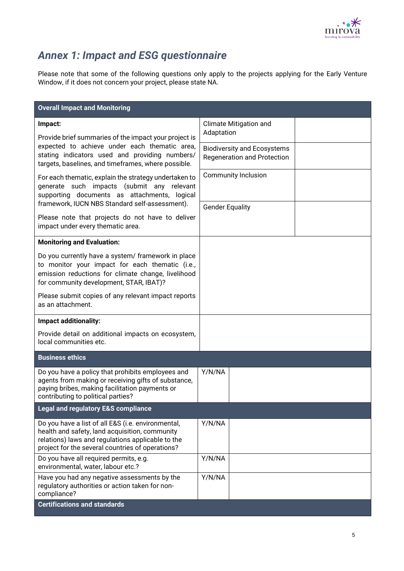

## *Annex 1: Impact and ESG questionnaire*

Please note that some of the following questions only apply to the projects applying for the Early Venture Window, if it does not concern your project, please state NA.

| <b>Overall Impact and Monitoring</b>                                                                                                                                                                          |                                                                          |  |  |
|---------------------------------------------------------------------------------------------------------------------------------------------------------------------------------------------------------------|--------------------------------------------------------------------------|--|--|
| Impact:<br>Provide brief summaries of the impact your project is                                                                                                                                              | <b>Climate Mitigation and</b><br>Adaptation                              |  |  |
| expected to achieve under each thematic area,<br>stating indicators used and providing numbers/<br>targets, baselines, and timeframes, where possible.                                                        | <b>Biodiversity and Ecosystems</b><br><b>Regeneration and Protection</b> |  |  |
| For each thematic, explain the strategy undertaken to<br>generate such impacts (submit any relevant<br>supporting documents as attachments, logical<br>framework, IUCN NBS Standard self-assessment).         | <b>Community Inclusion</b>                                               |  |  |
|                                                                                                                                                                                                               | <b>Gender Equality</b>                                                   |  |  |
| Please note that projects do not have to deliver<br>impact under every thematic area.                                                                                                                         |                                                                          |  |  |
| <b>Monitoring and Evaluation:</b>                                                                                                                                                                             |                                                                          |  |  |
| Do you currently have a system/ framework in place<br>to monitor your impact for each thematic (i.e.,<br>emission reductions for climate change, livelihood<br>for community development, STAR, IBAT)?        |                                                                          |  |  |
| Please submit copies of any relevant impact reports<br>as an attachment.                                                                                                                                      |                                                                          |  |  |
| Impact additionality:                                                                                                                                                                                         |                                                                          |  |  |
| Provide detail on additional impacts on ecosystem,<br>local communities etc.                                                                                                                                  |                                                                          |  |  |
| <b>Business ethics</b>                                                                                                                                                                                        |                                                                          |  |  |
| Do you have a policy that prohibits employees and<br>agents from making or receiving gifts of substance,<br>paying bribes, making facilitation payments or<br>contributing to political parties?              | Y/N/NA                                                                   |  |  |
| <b>Legal and regulatory E&amp;S compliance</b>                                                                                                                                                                |                                                                          |  |  |
| Do you have a list of all E&S (i.e. environmental,<br>health and safety, land acquisition, community<br>relations) laws and regulations applicable to the<br>project for the several countries of operations? | Y/N/NA                                                                   |  |  |
| Do you have all required permits, e.g.<br>environmental, water, labour etc.?                                                                                                                                  | Y/N/NA                                                                   |  |  |
| Have you had any negative assessments by the<br>regulatory authorities or action taken for non-<br>compliance?                                                                                                | Y/N/NA                                                                   |  |  |
| <b>Certifications and standards</b>                                                                                                                                                                           |                                                                          |  |  |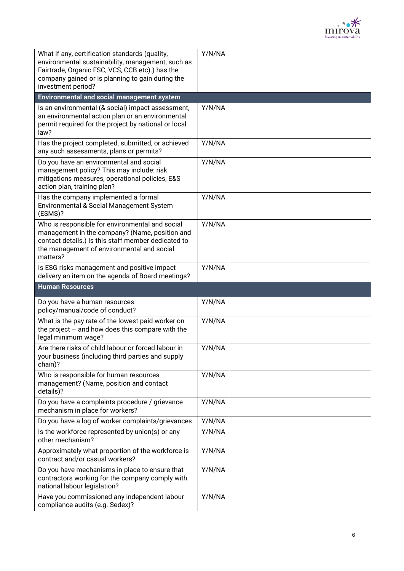

| What if any, certification standards (quality,<br>environmental sustainability, management, such as<br>Fairtrade, Organic FSC, VCS, CCB etc).) has the<br>company gained or is planning to gain during the<br>investment period? | Y/N/NA           |  |
|----------------------------------------------------------------------------------------------------------------------------------------------------------------------------------------------------------------------------------|------------------|--|
| <b>Environmental and social management system</b>                                                                                                                                                                                |                  |  |
| Is an environmental (& social) impact assessment,<br>an environmental action plan or an environmental<br>permit required for the project by national or local<br>law?                                                            | Y/N/NA           |  |
| Has the project completed, submitted, or achieved<br>any such assessments, plans or permits?                                                                                                                                     | Y/N/NA           |  |
| Do you have an environmental and social<br>management policy? This may include: risk<br>mitigations measures, operational policies, E&S<br>action plan, training plan?                                                           | Y/N/NA           |  |
| Has the company implemented a formal<br>Environmental & Social Management System<br>(ESMS)?                                                                                                                                      | Y/N/NA           |  |
| Who is responsible for environmental and social<br>management in the company? (Name, position and<br>contact details.) Is this staff member dedicated to<br>the management of environmental and social<br>matters?               | Y/N/NA           |  |
| Is ESG risks management and positive impact<br>delivery an item on the agenda of Board meetings?                                                                                                                                 | Y/N/NA           |  |
|                                                                                                                                                                                                                                  |                  |  |
| <b>Human Resources</b>                                                                                                                                                                                                           |                  |  |
| Do you have a human resources<br>policy/manual/code of conduct?                                                                                                                                                                  | Y/N/NA           |  |
| What is the pay rate of the lowest paid worker on<br>the project $-$ and how does this compare with the<br>legal minimum wage?                                                                                                   | Y/N/NA           |  |
| Are there risks of child labour or forced labour in<br>your business (including third parties and supply<br>chain)?                                                                                                              | Y/N/NA           |  |
| Who is responsible for human resources<br>management? (Name, position and contact<br>details)?                                                                                                                                   | Y/N/NA           |  |
| Do you have a complaints procedure / grievance<br>mechanism in place for workers?                                                                                                                                                | Y/N/NA           |  |
| Do you have a log of worker complaints/grievances                                                                                                                                                                                | Y/N/NA           |  |
| Is the workforce represented by union(s) or any<br>other mechanism?                                                                                                                                                              | Y/N/NA           |  |
| Approximately what proportion of the workforce is<br>contract and/or casual workers?                                                                                                                                             | Y/N/NA           |  |
| Do you have mechanisms in place to ensure that<br>contractors working for the company comply with<br>national labour legislation?<br>Have you commissioned any independent labour                                                | Y/N/NA<br>Y/N/NA |  |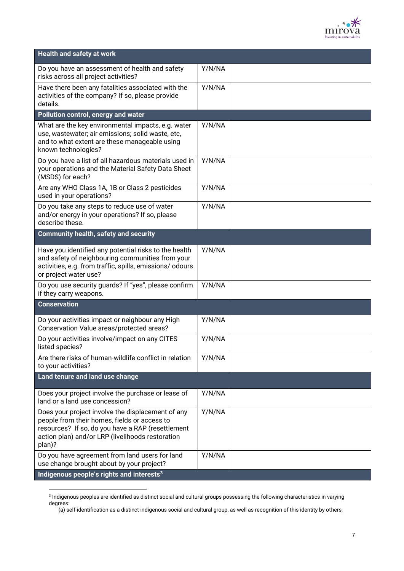

| <b>Health and safety at work</b>                                                                                                                                                                                     |        |  |
|----------------------------------------------------------------------------------------------------------------------------------------------------------------------------------------------------------------------|--------|--|
| Do you have an assessment of health and safety<br>risks across all project activities?                                                                                                                               | Y/N/NA |  |
| Have there been any fatalities associated with the<br>activities of the company? If so, please provide<br>details.                                                                                                   | Y/N/NA |  |
| Pollution control, energy and water                                                                                                                                                                                  |        |  |
| What are the key environmental impacts, e.g. water<br>use, wastewater; air emissions; solid waste, etc,<br>and to what extent are these manageable using<br>known technologies?                                      | Y/N/NA |  |
| Do you have a list of all hazardous materials used in<br>your operations and the Material Safety Data Sheet<br>(MSDS) for each?                                                                                      | Y/N/NA |  |
| Are any WHO Class 1A, 1B or Class 2 pesticides<br>used in your operations?                                                                                                                                           | Y/N/NA |  |
| Do you take any steps to reduce use of water<br>and/or energy in your operations? If so, please<br>describe these.                                                                                                   | Y/N/NA |  |
| <b>Community health, safety and security</b>                                                                                                                                                                         |        |  |
| Have you identified any potential risks to the health<br>and safety of neighbouring communities from your<br>activities, e.g. from traffic, spills, emissions/ odours<br>or project water use?                       | Y/N/NA |  |
| Do you use security guards? If "yes", please confirm<br>if they carry weapons.                                                                                                                                       | Y/N/NA |  |
| <b>Conservation</b>                                                                                                                                                                                                  |        |  |
| Do your activities impact or neighbour any High<br>Conservation Value areas/protected areas?                                                                                                                         | Y/N/NA |  |
| Do your activities involve/impact on any CITES<br>listed species?                                                                                                                                                    | Y/N/NA |  |
| Are there risks of human-wildlife conflict in relation<br>to your activities?                                                                                                                                        | Y/N/NA |  |
| Land tenure and land use change                                                                                                                                                                                      |        |  |
| Does your project involve the purchase or lease of<br>land or a land use concession?                                                                                                                                 | Y/N/NA |  |
| Does your project involve the displacement of any<br>people from their homes, fields or access to<br>resources? If so, do you have a RAP (resettlement<br>action plan) and/or LRP (livelihoods restoration<br>plan)? | Y/N/NA |  |
| Do you have agreement from land users for land<br>use change brought about by your project?                                                                                                                          | Y/N/NA |  |
| Indigenous people's rights and interests <sup>3</sup>                                                                                                                                                                |        |  |

<sup>3</sup> Indigenous peoples are identified as distinct social and cultural groups possessing the following characteristics in varying degrees:

<sup>(</sup>a) self-identification as a distinct indigenous social and cultural group, as well as recognition of this identity by others;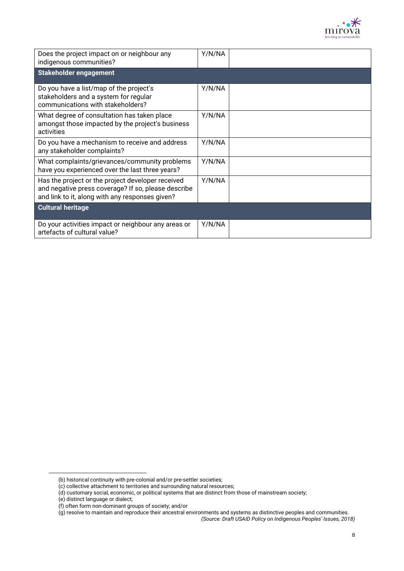

| Does the project impact on or neighbour any<br>indigenous communities?                                                                                      | Y/N/NA |  |
|-------------------------------------------------------------------------------------------------------------------------------------------------------------|--------|--|
| <b>Stakeholder engagement</b>                                                                                                                               |        |  |
| Do you have a list/map of the project's<br>stakeholders and a system for regular<br>communications with stakeholders?                                       | Y/N/NA |  |
| What degree of consultation has taken place<br>amongst those impacted by the project's business<br>activities                                               | Y/N/NA |  |
| Do you have a mechanism to receive and address<br>any stakeholder complaints?                                                                               | Y/N/NA |  |
| What complaints/grievances/community problems<br>have you experienced over the last three years?                                                            | Y/N/NA |  |
| Has the project or the project developer received<br>and negative press coverage? If so, please describe<br>and link to it, along with any responses given? | Y/N/NA |  |
| <b>Cultural heritage</b>                                                                                                                                    |        |  |
| Do your activities impact or neighbour any areas or<br>artefacts of cultural value?                                                                         | Y/N/NA |  |

<sup>(</sup>b) historical continuity with pre-colonial and/or pre-settler societies;

<sup>(</sup>c) collective attachment to territories and surrounding natural resources;

<sup>(</sup>d) customary social, economic, or political systems that are distinct from those of mainstream society;

<sup>(</sup>e) distinct language or dialect;

<sup>(</sup>f) often form non-dominant groups of society; and/or

<sup>(</sup>g) resolve to maintain and reproduce their ancestral environments and systems as distinctive peoples and communities. *(Source: Draft USAID Policy on Indigenous Peoples' Issues, 2018)*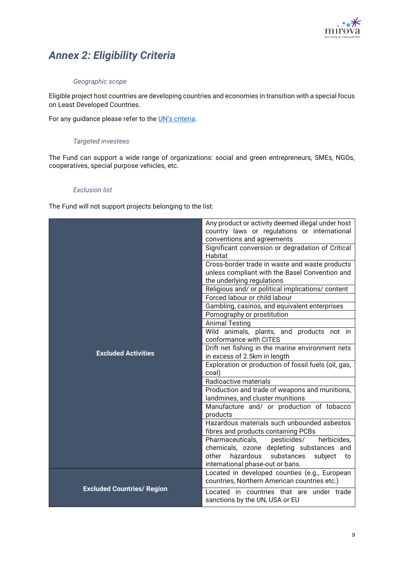

# *Annex 2: Eligibility Criteria*

### *Geographic scope*

Eligible project host countries are developing countries and economies in transition with a special focus on Least Developed Countries.

For any guidance please refer to the [UN's criteria](https://www.un.org/development/desa/dpad/least-developed-country-category/ldc-data-retrieval.html).

#### *Targeted investees*

The Fund can support a wide range of organizations: social and green entrepreneurs, SMEs, NGOs, cooperatives, special purpose vehicles, etc.

#### *Exclusion list*

The Fund will not support projects belonging to the list:

|                                   | Any product or activity deemed illegal under host<br>country laws or regulations or international<br>conventions and agreements<br>Significant conversion or degradation of Critical<br>Habitat<br>Cross-border trade in waste and waste products<br>unless compliant with the Basel Convention and |
|-----------------------------------|-----------------------------------------------------------------------------------------------------------------------------------------------------------------------------------------------------------------------------------------------------------------------------------------------------|
|                                   | the underlying regulations<br>Religious and/ or political implications/ content<br>Forced labour or child labour<br>Gambling, casinos, and equivalent enterprises                                                                                                                                   |
|                                   | Pornography or prostitution                                                                                                                                                                                                                                                                         |
|                                   | <b>Animal Testing</b>                                                                                                                                                                                                                                                                               |
|                                   | Wild animals, plants, and products not in<br>conformance with CITES                                                                                                                                                                                                                                 |
| <b>Excluded Activities</b>        | Drift net fishing in the marine environment nets                                                                                                                                                                                                                                                    |
|                                   | in excess of 2.5km in length                                                                                                                                                                                                                                                                        |
|                                   | Exploration or production of fossil fuels (oil, gas,<br>coal)                                                                                                                                                                                                                                       |
|                                   | Radioactive materials                                                                                                                                                                                                                                                                               |
|                                   | Production and trade of weapons and munitions,<br>landmines, and cluster munitions                                                                                                                                                                                                                  |
|                                   | Manufacture and/ or production of tobacco<br>products                                                                                                                                                                                                                                               |
|                                   | Hazardous materials such unbounded asbestos<br>fibres and products containing PCBs                                                                                                                                                                                                                  |
|                                   | herbicides,<br>pesticides/<br>Pharmaceuticals,                                                                                                                                                                                                                                                      |
|                                   | chemicals, ozone depleting substances and<br>hazardous<br>substances<br>other<br>subject<br>to<br>international phase-out or bans.                                                                                                                                                                  |
| <b>Excluded Countries/ Region</b> | Located in developed counties (e.g., European<br>countries, Northern American countries etc.)                                                                                                                                                                                                       |
|                                   | Located in countries that are under trade<br>sanctions by the UN, USA or EU                                                                                                                                                                                                                         |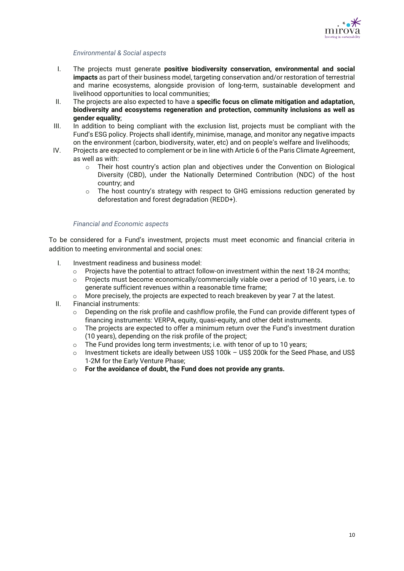

#### *Environmental & Social aspects*

- I. The projects must generate **positive biodiversity conservation, environmental and social impacts** as part of their business model, targeting conservation and/or restoration of terrestrial and marine ecosystems, alongside provision of long-term, sustainable development and livelihood opportunities to local communities;
- II. The projects are also expected to have a **specific focus on climate mitigation and adaptation, biodiversity and ecosystems regeneration and protection, community inclusions as well as gender equality**;
- III. In addition to being compliant with the exclusion list, projects must be compliant with the Fund's ESG policy. Projects shall identify, minimise, manage, and monitor any negative impacts on the environment (carbon, biodiversity, water, etc) and on people's welfare and livelihoods;
- IV. Projects are expected to complement or be in line with Article 6 of the Paris Climate Agreement, as well as with:
	- o Their host country's action plan and objectives under the Convention on Biological Diversity (CBD), under the Nationally Determined Contribution (NDC) of the host country; and
	- $\circ$  The host country's strategy with respect to GHG emissions reduction generated by deforestation and forest degradation (REDD+).

#### *Financial and Economic aspects*

To be considered for a Fund's investment, projects must meet economic and financial criteria in addition to meeting environmental and social ones:

- I. Investment readiness and business model:
	- $\circ$  Projects have the potential to attract follow-on investment within the next 18-24 months;
	- o Projects must become economically/commercially viable over a period of 10 years, i.e. to generate sufficient revenues within a reasonable time frame;
	- $\circ$  More precisely, the projects are expected to reach breakeven by year 7 at the latest.
- II. Financial instruments:
	- $\circ$  Depending on the risk profile and cashflow profile, the Fund can provide different types of financing instruments: VERPA, equity, quasi-equity, and other debt instruments.
	- o The projects are expected to offer a minimum return over the Fund's investment duration (10 years), depending on the risk profile of the project;
	- $\circ$  The Fund provides long term investments; i.e. with tenor of up to 10 years;
	- o Investment tickets are ideally between US\$ 100k US\$ 200k for the Seed Phase, and US\$ 1-2M for the Early Venture Phase;
	- o **For the avoidance of doubt, the Fund does not provide any grants.**